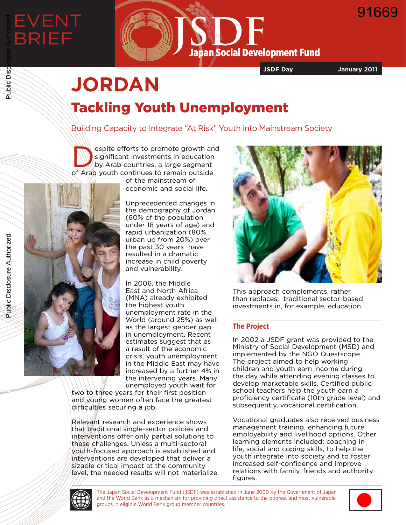

**JSDF Day January 2011**

91669

# **JORDAN** Tackling Youth Unemployment

Building Capacity to Integrate "At Risk" Youth into Mainstream Society

espite efforts to promote growth and<br>significant investments in education<br>by Arab countries, a large segment significant investments in education by Arab countries, a large segment of Arab youth continues to remain outside

of the mainstream of economic and social life.

Unprecedented changes in the demography of Jordan (60% of the population under 18 years of age) and rapid urbanization (80% urban up from 20%) over the past 30 years have resulted in a dramatic increase in child poverty and vulnerability.

In 2006, the Middle East and North Africa (MNA) already exhibited the highest youth unemployment rate in the World (around 25%) as well as the largest gender gap in unemployment. Recent estimates suggest that as a result of the economic crisis, youth unemployment in the Middle East may have increased by a further 4% in the intervening years. Many unemployed youth wait for

two to three years for their first position and young women often face the greatest difficulties securing a job.

Relevant research and experience shows that traditional single-sector policies and interventions offer only partial solutions to these challenges. Unless a multi-sectoral youth-focused approach is established and interventions are developed that deliver a sizable critical impact at the community level, the needed results will not materialize.



This approach complements, rather than replaces, traditional sector-based investments in, for example, education.

# **The Project**

In 2002 a JSDF grant was provided to the Ministry of Social Development (MSD) and implemented by the NGO Questscope. The project aimed to help working children and youth earn income during the day while attending evening classes to develop marketable skills. Certified public school teachers help the youth earn a proficiency certificate (10th grade level) and subsequently, vocational certification.

Vocational graduates also received business management training, enhancing future employability and livelihood options. Other learning elements included: coaching in life, social and coping skills, to help the youth integrate into society and to foster increased self-confidence and improve relations with family, friends and authority figures.

Public Disclosure Authorized



The Japan Social Development Fund (JSDF) was established in June 2000 by the Government of Japan and the World Bank as a mechanism for providing direct assistance to the poorest and most vulnerable groups in eligible World Bank group member countries.



Public Disclosure Authorized

Public Disc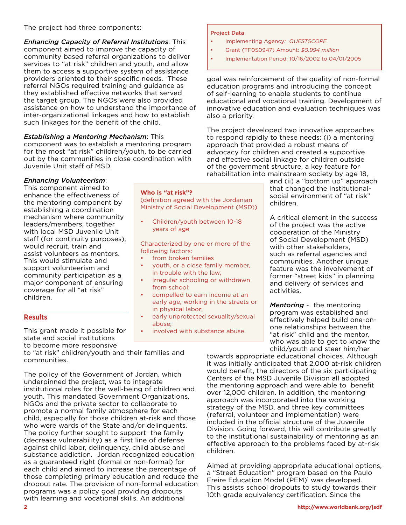The project had three components:

*Enhancing Capacity of Referral Institutions*: This component aimed to improve the capacity of community based referral organizations to deliver services to "at risk" children and youth, and allow them to access a supportive system of assistance providers oriented to their specific needs. These referral NGOs required training and guidance as they established effective networks that served the target group. The NGOs were also provided assistance on how to understand the importance of inter-organizational linkages and how to establish such linkages for the benefit of the child.

# *Establishing a Mentoring Mechanism*: This

*Enhancing Volunteerism*: This component aimed to enhance the effectiveness of the mentoring component by establishing a coordination mechanism where community leaders/members, together with local MSD Juvenile Unit staff (for continuity purposes),

would recruit, train and assist volunteers as mentors. This would stimulate and support volunteerism and community participation as a major component of ensuring coverage for all "at risk"

children.

**Results**

component was to establish a mentoring program for the most "at risk" children/youth, to be carried out by the communities in close coordination with Juvenile Unit staff of MSD.

**Who is "at risk"?** (definition agreed with the Jordanian Ministry of Social Development (MSD))

also a priority.

Project Data

• Children/youth between 10-18 years of age

Characterized by one or more of the following factors:

- from broken families
- youth, or a close family member, in trouble with the law;
- irregular schooling or withdrawn from school;
- compelled to earn income at an early age, working in the streets or in physical labor;
- early unprotected sexuality/sexual abuse;
- involved with substance abuse.

and (ii) a "bottom up" approach that changed the institutionalsocial environment of "at risk" children.

goal was reinforcement of the quality of non-formal education programs and introducing the concept of self-learning to enable students to continue educational and vocational training. Development of innovative education and evaluation techniques was

• Implementation Period: 10/16/2002 to 04/01/2005

The project developed two innovative approaches to respond rapidly to these needs: (i) a mentoring

approach that provided a robust means of advocacy for children and created a supportive and effective social linkage for children outside of the government structure, a key feature for rehabilitation into mainstream society by age 18,

• Implementing Agency*: QUESTSCOPE* • Grant (TF050947) Amount: *\$0.994 million*

> A critical element in the success of the project was the active cooperation of the Ministry of Social Development (MSD) with other stakeholders, such as referral agencies and communities. Another unique feature was the involvement of former "street kids" in planning and delivery of services and activities.

*Mentoring* - the mentoring program was established and effectively helped build one-onone relationships between the "at risk" child and the mentor, who was able to get to know the child/youth and steer him/her

to become more responsive to "at risk" children/youth and their families and communities.

This grant made it possible for state and social institutions

The policy of the Government of Jordan, which underpinned the project, was to integrate institutional roles for the well-being of children and youth. This mandated Government Organizations, NGOs and the private sector to collaborate to promote a normal family atmosphere for each child, especially for those children at-risk and those who were wards of the State and/or delinquents. The policy further sought to support the family (decrease vulnerability) as a first line of defense against child labor, delinquency, child abuse and substance addiction. Jordan recognized education as a guaranteed right (formal or non-formal) for each child and aimed to increase the percentage of those completing primary education and reduce the dropout rate. The provision of non-formal education programs was a policy goal providing dropouts with learning and vocational skills. An additional

towards appropriate educational choices. Although it was initially anticipated that 2,000 at-risk children would benefit, the directors of the six participating Centers of the MSD Juvenile Division all adopted the mentoring approach and were able to benefit over 12,000 children. In addition, the mentoring approach was incorporated into the working strategy of the MSD, and three key committees (referral, volunteer and implementation) were included in the official structure of the Juvenile Division. Going forward, this will contribute greatly to the institutional sustainability of mentoring as an effective approach to the problems faced by at-risk children.

Aimed at providing appropriate educational options, a "Street Education" program based on the Paulo Freire Education Model (PEM)<sup>1</sup> was developed. This assists school dropouts to study towards their 10th grade equivalency certification. Since the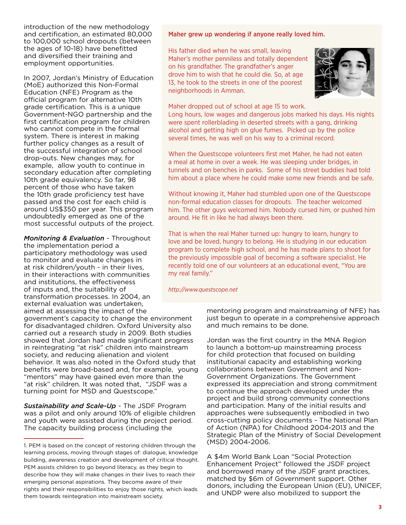introduction of the new methodology and certification, an estimated 80,000 to 100,000 school dropouts (between the ages of 10-18) have benefitted and diversified their training and employment opportunities.

In 2007, Jordan's Ministry of Education (MoE) authorized this Non-Formal Education (NFE) Program as the official program for alternative 10th grade certification. This is a unique Government-NGO partnership and the first certification program for children who cannot compete in the formal system. There is interest in making further policy changes as a result of the successful integration of school drop-outs. New changes may, for example, allow youth to continue in secondary education after completing 10th grade equivalency. So far, 98 percent of those who have taken the 10th grade proficiency test have passed and the cost for each child is around US\$350 per year. This program undoubtedly emerged as one of the most successful outputs of the project.

*Monitoring & Evaluation* - Throughout the implementation period a participatory methodology was used to monitor and evaluate changes in at risk children/youth - in their lives, in their interactions with communities and institutions, the effectiveness of inputs and, the suitability of transformation processes. In 2004, an external evaluation was undertaken, aimed at assessing the impact of the

government's capacity to change the environment for disadvantaged children. Oxford University also carried out a research study in 2009. Both studies showed that Jordan had made significant progress in reintegrating "at risk" children into mainstream society, and reducing alienation and violent behavior. It was also noted in the Oxford study that benefits were broad-based and, for example, young "mentors" may have gained even more than the "at risk" children. It was noted that, "JSDF was a turning point for MSD and Questscope."

*Sustainability and Scale-Up* - The JSDF Program was a pilot and only around 10% of eligible children and youth were assisted during the project period. The capacity building process (including the

#### Maher grew up wondering if anyone really loved him.

His father died when he was small, leaving Maher's mother penniless and totally dependent on his grandfather. The grandfather's anger drove him to wish that he could die. So, at age 13, he took to the streets in one of the poorest neighborhoods in Amman.



Maher dropped out of school at age 15 to work.

Long hours, low wages and dangerous jobs marked his days. His nights were spent rollerblading in deserted streets with a gang, drinking alcohol and getting high on glue fumes. Picked up by the police several times, he was well on his way to a criminal record.

When the Questscope volunteers first met Maher, he had not eaten a meal at home in over a week. He was sleeping under bridges, in tunnels and on benches in parks. Some of his street buddies had told him about a place where he could make some new friends and be safe.

Without knowing it, Maher had stumbled upon one of the Questscope non-formal education classes for dropouts. The teacher welcomed him. The other guys welcomed him. Nobody cursed him, or pushed him around. He fit in like he had always been there.

That is when the real Maher turned up: hungry to learn, hungry to love and be loved, hungry to belong. He is studying in our education program to complete high school, and he has made plans to shoot for the previously impossible goal of becoming a software specialist. He recently told one of our volunteers at an educational event, "You are my real family."

*http://www.questscope.net*

mentoring program and mainstreaming of NFE) has just begun to operate in a comprehensive approach and much remains to be done.

Jordan was the first country in the MNA Region to launch a bottom-up mainstreaming process for child protection that focused on building institutional capacity and establishing working collaborations between Government and Non-Government Organizations. The Government expressed its appreciation and strong commitment to continue the approach developed under the project and build strong community connections and participation. Many of the initial results and approaches were subsequently embodied in two cross-cutting policy documents - The National Plan of Action (NPA) for Childhood 2004-2013 and the Strategic Plan of the Ministry of Social Development (MSD) 2004-2006.

A \$4m World Bank Loan "Social Protection Enhancement Project" followed the JSDF project and borrowed many of the JSDF grant practices, matched by \$6m of Government support. Other donors, including the European Union (EU), UNICEF, and UNDP were also mobilized to support the

<sup>1.</sup> PEM is based on the concept of restoring children through the learning process, moving through stages of: dialogue, knowledge building, awareness creation and development of critical thought. PEM assists children to go beyond literacy, as they begin to describe how they will make changes in their lives to reach their emerging personal aspirations. They become aware of their rights and their responsibilities to enjoy those rights, which leads them towards reintegration into mainstream society.